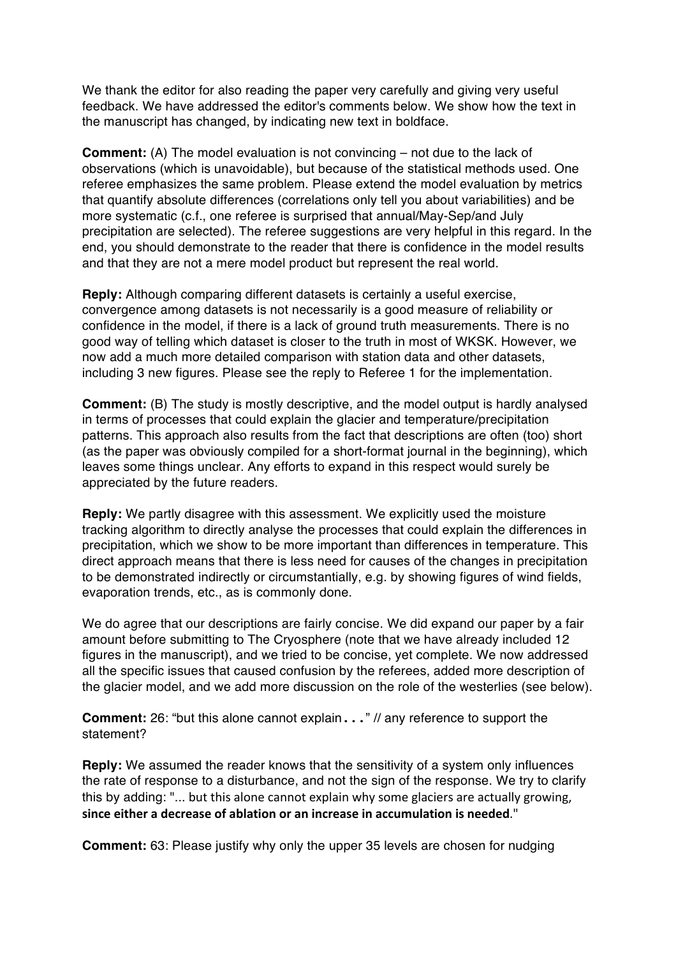We thank the editor for also reading the paper very carefully and giving very useful feedback. We have addressed the editor's comments below. We show how the text in the manuscript has changed, by indicating new text in boldface.

**Comment:** (A) The model evaluation is not convincing – not due to the lack of observations (which is unavoidable), but because of the statistical methods used. One referee emphasizes the same problem. Please extend the model evaluation by metrics that quantify absolute differences (correlations only tell you about variabilities) and be more systematic (c.f., one referee is surprised that annual/May-Sep/and July precipitation are selected). The referee suggestions are very helpful in this regard. In the end, you should demonstrate to the reader that there is confidence in the model results and that they are not a mere model product but represent the real world.

**Reply:** Although comparing different datasets is certainly a useful exercise, convergence among datasets is not necessarily is a good measure of reliability or confidence in the model, if there is a lack of ground truth measurements. There is no good way of telling which dataset is closer to the truth in most of WKSK. However, we now add a much more detailed comparison with station data and other datasets, including 3 new figures. Please see the reply to Referee 1 for the implementation.

**Comment:** (B) The study is mostly descriptive, and the model output is hardly analysed in terms of processes that could explain the glacier and temperature/precipitation patterns. This approach also results from the fact that descriptions are often (too) short (as the paper was obviously compiled for a short-format journal in the beginning), which leaves some things unclear. Any efforts to expand in this respect would surely be appreciated by the future readers.

**Reply:** We partly disagree with this assessment. We explicitly used the moisture tracking algorithm to directly analyse the processes that could explain the differences in precipitation, which we show to be more important than differences in temperature. This direct approach means that there is less need for causes of the changes in precipitation to be demonstrated indirectly or circumstantially, e.g. by showing figures of wind fields, evaporation trends, etc., as is commonly done.

We do agree that our descriptions are fairly concise. We did expand our paper by a fair amount before submitting to The Cryosphere (note that we have already included 12 figures in the manuscript), and we tried to be concise, yet complete. We now addressed all the specific issues that caused confusion by the referees, added more description of the glacier model, and we add more discussion on the role of the westerlies (see below).

**Comment:** 26: "but this alone cannot explain..." // any reference to support the statement?

**Reply:** We assumed the reader knows that the sensitivity of a system only influences the rate of response to a disturbance, and not the sign of the response. We try to clarify this by adding: "... but this alone cannot explain why some glaciers are actually growing, since either a decrease of ablation or an increase in accumulation is needed."

**Comment:** 63: Please justify why only the upper 35 levels are chosen for nudging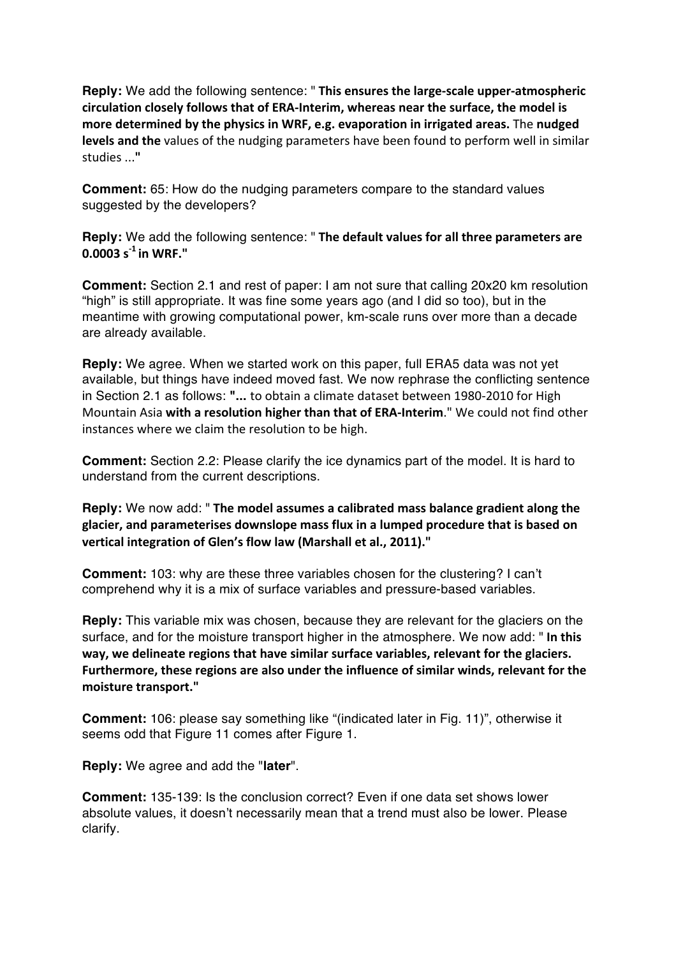**Reply:** We add the following sentence: " This ensures the large-scale upper-atmospheric **circulation closely follows that of ERA-Interim, whereas near the surface, the model is** more determined by the physics in WRF, e.g. evaporation in irrigated areas. The nudged **levels and the** values of the nudging parameters have been found to perform well in similar studies ...**"**

**Comment:** 65: How do the nudging parameters compare to the standard values suggested by the developers?

**Reply:** We add the following sentence: " The default values for all three parameters are **0.0003 s -1 in WRF."**

**Comment:** Section 2.1 and rest of paper: I am not sure that calling 20x20 km resolution "high" is still appropriate. It was fine some years ago (and I did so too), but in the meantime with growing computational power, km-scale runs over more than a decade are already available.

**Reply:** We agree. When we started work on this paper, full ERA5 data was not yet available, but things have indeed moved fast. We now rephrase the conflicting sentence in Section 2.1 as follows: "... to obtain a climate dataset between 1980-2010 for High Mountain Asia with a resolution higher than that of ERA-Interim." We could not find other instances where we claim the resolution to be high.

**Comment:** Section 2.2: Please clarify the ice dynamics part of the model. It is hard to understand from the current descriptions.

**Reply:** We now add: " The model assumes a calibrated mass balance gradient along the **glacier, and parameterises downslope mass flux in a lumped procedure that is based on vertical integration of Glen's flow law (Marshall et al., 2011)."**

**Comment:** 103: why are these three variables chosen for the clustering? I can't comprehend why it is a mix of surface variables and pressure-based variables.

**Reply:** This variable mix was chosen, because they are relevant for the glaciers on the surface, and for the moisture transport higher in the atmosphere. We now add: " In this **way, we delineate regions that have similar surface variables, relevant for the glaciers.** Furthermore, these regions are also under the influence of similar winds, relevant for the **moisture transport."**

**Comment:** 106: please say something like "(indicated later in Fig. 11)", otherwise it seems odd that Figure 11 comes after Figure 1.

**Reply:** We agree and add the "**later**".

**Comment:** 135-139: Is the conclusion correct? Even if one data set shows lower absolute values, it doesn't necessarily mean that a trend must also be lower. Please clarify.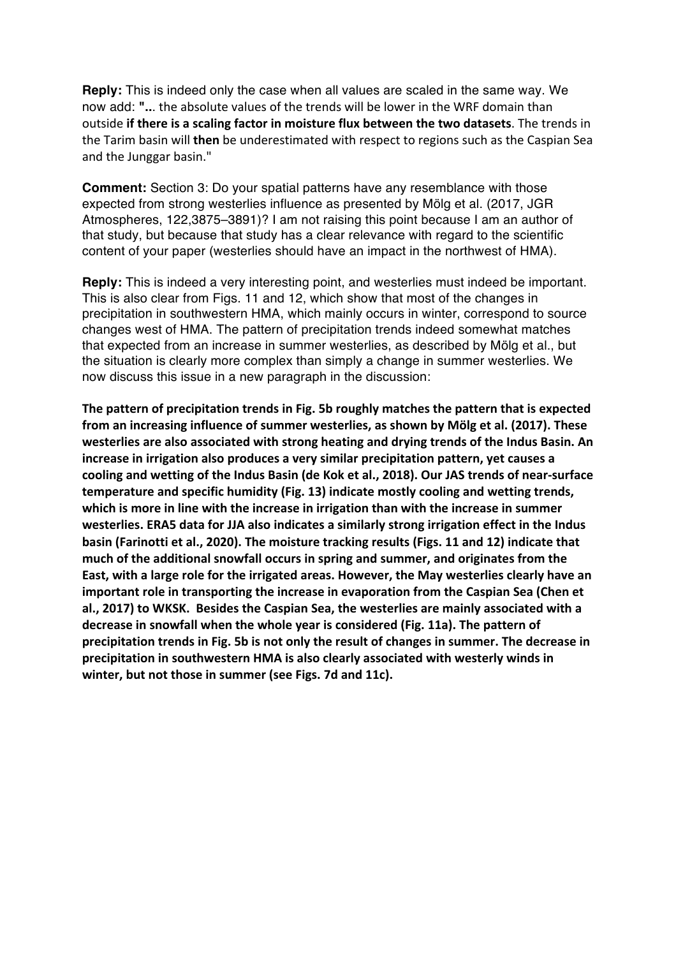**Reply:** This is indeed only the case when all values are scaled in the same way. We now add: "... the absolute values of the trends will be lower in the WRF domain than outside **if there is a scaling factor in moisture flux between the two datasets. The trends in** the Tarim basin will **then** be underestimated with respect to regions such as the Caspian Sea and the Junggar basin."

**Comment:** Section 3: Do your spatial patterns have any resemblance with those expected from strong westerlies influence as presented by Mölg et al. (2017, JGR Atmospheres, 122,3875–3891)? I am not raising this point because I am an author of that study, but because that study has a clear relevance with regard to the scientific content of your paper (westerlies should have an impact in the northwest of HMA).

**Reply:** This is indeed a very interesting point, and westerlies must indeed be important. This is also clear from Figs. 11 and 12, which show that most of the changes in precipitation in southwestern HMA, which mainly occurs in winter, correspond to source changes west of HMA. The pattern of precipitation trends indeed somewhat matches that expected from an increase in summer westerlies, as described by Mölg et al., but the situation is clearly more complex than simply a change in summer westerlies. We now discuss this issue in a new paragraph in the discussion:

**The pattern of precipitation trends in Fig. 5b roughly matches the pattern that is expected from an increasing influence of summer westerlies, as shown by Mölg et al. (2017). These westerlies** are also associated with strong heating and drying trends of the Indus Basin. An increase in irrigation also produces a very similar precipitation pattern, yet causes a cooling and wetting of the Indus Basin (de Kok et al., 2018). Our JAS trends of near-surface temperature and specific humidity (Fig. 13) indicate mostly cooling and wetting trends, which is more in line with the increase in irrigation than with the increase in summer westerlies. ERA5 data for JJA also indicates a similarly strong irrigation effect in the Indus **basin (Farinotti et al., 2020). The moisture tracking results (Figs. 11 and 12) indicate that** much of the additional snowfall occurs in spring and summer, and originates from the **East, with a large role for the irrigated areas. However, the May westerlies clearly have an** important role in transporting the increase in evaporation from the Caspian Sea (Chen et al., 2017) to WKSK. Besides the Caspian Sea, the westerlies are mainly associated with a decrease in snowfall when the whole year is considered (Fig. 11a). The pattern of precipitation trends in Fig. 5b is not only the result of changes in summer. The decrease in precipitation in southwestern HMA is also clearly associated with westerly winds in winter, but not those in summer (see Figs. 7d and 11c).